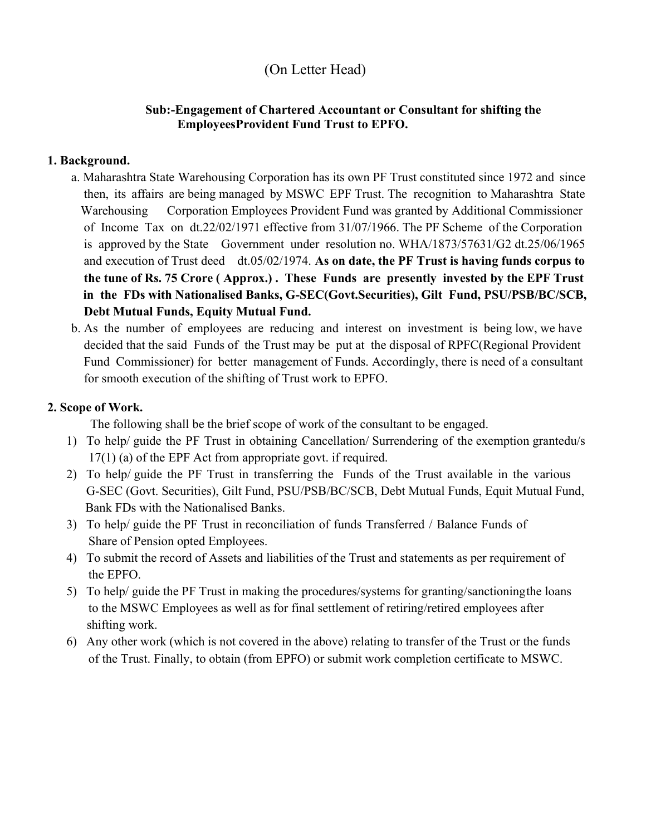# (On Letter Head)

# Sub:-Engagement of Chartered Accountant or Consultant for shifting the Employees Provident Fund Trust to EPFO.

## 1. Background.

- a. Maharashtra State Warehousing Corporation has its own PF Trust constituted since 1972 and since then, its affairs are being managed by MSWC EPF Trust. The recognition to Maharashtra State Warehousing Corporation Employees Provident Fund was granted by Additional Commissioner of Income Tax on dt.22/02/1971 effective from 31/07/1966. The PF Scheme of the Corporation is approved by the State Government under resolution no. WHA/1873/57631/G2 dt.25/06/1965 and execution of Trust deed dt.05/02/1974. As on date, the PF Trust is having funds corpus to the tune of Rs. 75 Crore ( Approx.) . These Funds are presently invested by the EPF Trust in the FDs with Nationalised Banks, G-SEC(Govt.Securities), Gilt Fund, PSU/PSB/BC/SCB, Debt Mutual Funds, Equity Mutual Fund.
- b. As the number of employees are reducing and interest on investment is being low, we have decided that the said Funds of the Trust may be put at the disposal of RPFC(Regional Provident Fund Commissioner) for better management of Funds. Accordingly, there is need of a consultant for smooth execution of the shifting of Trust work to EPFO.

### 2. Scope of Work.

The following shall be the brief scope of work of the consultant to be engaged.

- 1) To help/ guide the PF Trust in obtaining Cancellation/ Surrendering of the exemption grantedu/s 17(1) (a) of the EPF Act from appropriate govt. if required.
- 2) To help/ guide the PF Trust in transferring the Funds of the Trust available in the various G-SEC (Govt. Securities), Gilt Fund, PSU/PSB/BC/SCB, Debt Mutual Funds, Equit Mutual Fund, Bank FDs with the Nationalised Banks.
- 3) To help/ guide the PF Trust in reconciliation of funds Transferred / Balance Funds of Share of Pension opted Employees.
- 4) To submit the record of Assets and liabilities of the Trust and statements as per requirement of the EPFO.
- 5) To help/ guide the PF Trust in making the procedures/systems for granting/sanctioning the loans to the MSWC Employees as well as for final settlement of retiring/retired employees after shifting work.
- 6) Any other work (which is not covered in the above) relating to transfer of the Trust or the funds of the Trust. Finally, to obtain (from EPFO) or submit work completion certificate to MSWC.